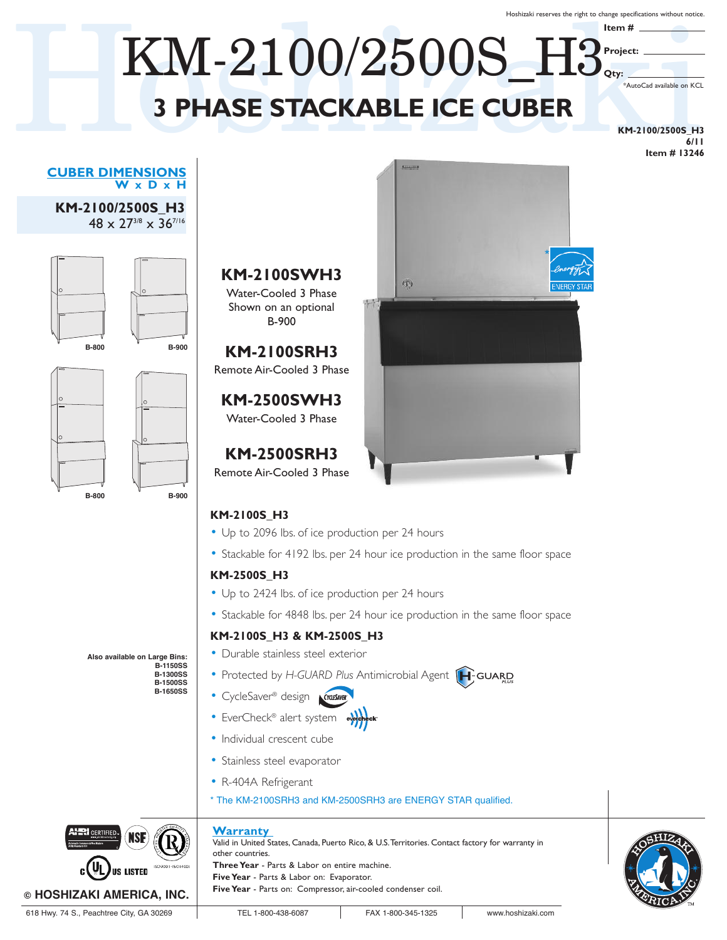Hoshizaki reserves the right to change specifications without notice.

**Item #**

**Project:**

**Qty:**

\*

# $\text{KM-2100/2500S}_{\text{HOM} \text{F6014} \text{K}} \text{N} \cdot \text{M} \cdot \text{M} \cdot \text{M} \cdot \text{M} \cdot \text{M} \cdot \text{M} \cdot \text{M} \cdot \text{M} \cdot \text{M} \cdot \text{M} \cdot \text{M} \cdot \text{M} \cdot \text{M} \cdot \text{M} \cdot \text{M} \cdot \text{M} \cdot \text{M} \cdot \text{M} \cdot \text{M} \cdot \text{M} \cdot \text{M} \cdot \text{M} \cdot \text{M} \cdot \text{M} \cdot \text{M} \cdot \text$ **3 PHASE STACKABLE ICE CUBER** KM-2100/2500S\_H3

**KM-2100/2500S\_H3 6/11 Item # 13246**

\*AutoCad available on KCL

#### **CUBER DIMENSIONS W x D x H**

**KM-2100/2500S\_H3** 48 x 273/8 x 367/16

**B-900 B-800**



**Also available on Large Bins:**

**B-1150SS B-1300SS B-1500SS B-1650SS**

#### **KM-2100SWH3** Water-Cooled 3 Phase

Shown on an optional B-900

**KM-2100SRH3** Remote Air-Cooled 3 Phase

**KM-2500SWH3** Water-Cooled 3 Phase

## **KM-2500SRH3**

Remote Air-Cooled 3 Phase

#### **KM-2100S\_H3**

- Up to 2096 lbs. of ice production per 24 hours
- Stackable for 4192 lbs. per 24 hour ice production in the same floor space

小

#### **KM-2500S\_H3**

- Up to 2424 lbs. of ice production per 24 hours
- Stackable for 4848 lbs. per 24 hour ice production in the same floor space

#### **KM-2100S\_H3 & KM-2500S\_H3**

- Durable stainless steel exterior
- Protected by *H-GUARD Plus* Antimicrobial Agent **[H-GUARD**
- CycleSaver ® design
- EverCheck® alert system evercheck
- Individual crescent cube
- Stainless steel evaporator
- R-404A Refrigerant

#### \* The KM-2100SRH3 and KM-2500SRH3 are ENERGY STAR qualified.

#### **Warranty**

**HRI** CERTIFIEI Valid in United States, Canada, Puerto Rico, & U.S.Territories. Contact factory for warranty in other countries. **Three Year** - Parts & Labor on entire machine. **US LISTED Five Year** - Parts & Labor on: Evaporator. **Five Year** - Parts on: Compressor, air-cooled condenser coil. **© HOSHIZAKI AMERICA, INC.**